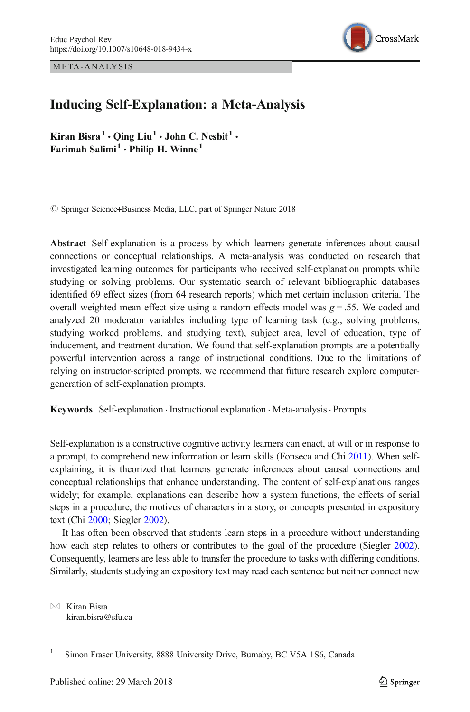META-ANALYSIS



# Inducing Self-Explanation: a Meta-Analysis

Kiran Bisra<sup>1</sup> · Qing Liu<sup>1</sup> · John C. Nesbit<sup>1</sup> · Farimah Salimi<sup>1</sup>  $\cdot$  Philip H. Winne<sup>1</sup>

© Springer Science+Business Media, LLC, part of Springer Nature 2018

Abstract Self-explanation is a process by which learners generate inferences about causal connections or conceptual relationships. A meta-analysis was conducted on research that investigated learning outcomes for participants who received self-explanation prompts while studying or solving problems. Our systematic search of relevant bibliographic databases identified 69 effect sizes (from 64 research reports) which met certain inclusion criteria. The overall weighted mean effect size using a random effects model was  $g = 0.55$ . We coded and analyzed 20 moderator variables including type of learning task (e.g., solving problems, studying worked problems, and studying text), subject area, level of education, type of inducement, and treatment duration. We found that self-explanation prompts are a potentially powerful intervention across a range of instructional conditions. Due to the limitations of relying on instructor-scripted prompts, we recommend that future research explore computergeneration of self-explanation prompts.

Keywords Self-explanation . Instructional explanation . Meta-analysis. Prompts

Self-explanation is a constructive cognitive activity learners can enact, at will or in response to a prompt, to comprehend new information or learn skills (Fonseca and Chi [2011](#page-19-0)). When selfexplaining, it is theorized that learners generate inferences about causal connections and conceptual relationships that enhance understanding. The content of self-explanations ranges widely; for example, explanations can describe how a system functions, the effects of serial steps in a procedure, the motives of characters in a story, or concepts presented in expository text (Chi [2000;](#page-18-0) Siegler [2002](#page-22-0)).

It has often been observed that students learn steps in a procedure without understanding how each step relates to others or contributes to the goal of the procedure (Siegler [2002](#page-22-0)). Consequently, learners are less able to transfer the procedure to tasks with differing conditions. Similarly, students studying an expository text may read each sentence but neither connect new

 $\boxtimes$  Kiran Bisra [kiran.bisra@sfu.ca](mailto:kiran.bisra@sfu.ca)

<sup>&</sup>lt;sup>1</sup> Simon Fraser University, 8888 University Drive, Burnaby, BC V5A 1S6, Canada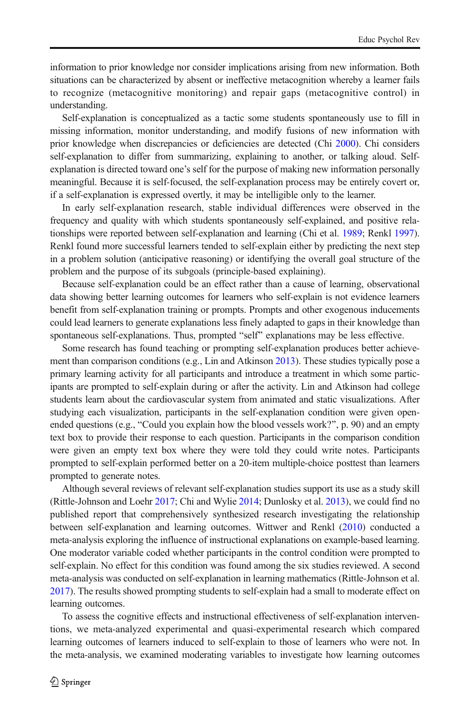information to prior knowledge nor consider implications arising from new information. Both situations can be characterized by absent or ineffective metacognition whereby a learner fails to recognize (metacognitive monitoring) and repair gaps (metacognitive control) in understanding.

Self-explanation is conceptualized as a tactic some students spontaneously use to fill in missing information, monitor understanding, and modify fusions of new information with prior knowledge when discrepancies or deficiencies are detected (Chi [2000\)](#page-18-0). Chi considers self-explanation to differ from summarizing, explaining to another, or talking aloud. Selfexplanation is directed toward one's self for the purpose of making new information personally meaningful. Because it is self-focused, the self-explanation process may be entirely covert or, if a self-explanation is expressed overtly, it may be intelligible only to the learner.

In early self-explanation research, stable individual differences were observed in the frequency and quality with which students spontaneously self-explained, and positive relationships were reported between self-explanation and learning (Chi et al. [1989;](#page-19-0) Renkl [1997](#page-21-0)). Renkl found more successful learners tended to self-explain either by predicting the next step in a problem solution (anticipative reasoning) or identifying the overall goal structure of the problem and the purpose of its subgoals (principle-based explaining).

Because self-explanation could be an effect rather than a cause of learning, observational data showing better learning outcomes for learners who self-explain is not evidence learners benefit from self-explanation training or prompts. Prompts and other exogenous inducements could lead learners to generate explanations less finely adapted to gaps in their knowledge than spontaneous self-explanations. Thus, prompted "self" explanations may be less effective.

Some research has found teaching or prompting self-explanation produces better achieve-ment than comparison conditions (e.g., Lin and Atkinson [2013](#page-20-0)). These studies typically pose a primary learning activity for all participants and introduce a treatment in which some participants are prompted to self-explain during or after the activity. Lin and Atkinson had college students learn about the cardiovascular system from animated and static visualizations. After studying each visualization, participants in the self-explanation condition were given openended questions (e.g., "Could you explain how the blood vessels work?", p. 90) and an empty text box to provide their response to each question. Participants in the comparison condition were given an empty text box where they were told they could write notes. Participants prompted to self-explain performed better on a 20-item multiple-choice posttest than learners prompted to generate notes.

Although several reviews of relevant self-explanation studies support its use as a study skill (Rittle-Johnson and Loehr [2017;](#page-21-0) Chi and Wylie [2014](#page-19-0); Dunlosky et al. [2013](#page-19-0)), we could find no published report that comprehensively synthesized research investigating the relationship between self-explanation and learning outcomes. Wittwer and Renkl [\(2010\)](#page-22-0) conducted a meta-analysis exploring the influence of instructional explanations on example-based learning. One moderator variable coded whether participants in the control condition were prompted to self-explain. No effect for this condition was found among the six studies reviewed. A second meta-analysis was conducted on self-explanation in learning mathematics (Rittle-Johnson et al. [2017](#page-21-0)). The results showed prompting students to self-explain had a small to moderate effect on learning outcomes.

To assess the cognitive effects and instructional effectiveness of self-explanation interventions, we meta-analyzed experimental and quasi-experimental research which compared learning outcomes of learners induced to self-explain to those of learners who were not. In the meta-analysis, we examined moderating variables to investigate how learning outcomes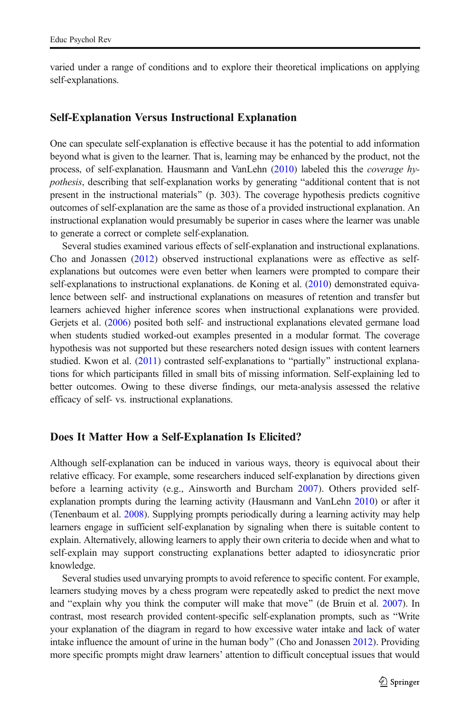varied under a range of conditions and to explore their theoretical implications on applying self-explanations.

### Self-Explanation Versus Instructional Explanation

One can speculate self-explanation is effective because it has the potential to add information beyond what is given to the learner. That is, learning may be enhanced by the product, not the process, of self-explanation. Hausmann and VanLehn [\(2010\)](#page-20-0) labeled this the coverage hypothesis, describing that self-explanation works by generating "additional content that is not present in the instructional materials^ (p. 303). The coverage hypothesis predicts cognitive outcomes of self-explanation are the same as those of a provided instructional explanation. An instructional explanation would presumably be superior in cases where the learner was unable to generate a correct or complete self-explanation.

Several studies examined various effects of self-explanation and instructional explanations. Cho and Jonassen ([2012](#page-19-0)) observed instructional explanations were as effective as selfexplanations but outcomes were even better when learners were prompted to compare their self-explanations to instructional explanations. de Koning et al. [\(2010\)](#page-19-0) demonstrated equivalence between self- and instructional explanations on measures of retention and transfer but learners achieved higher inference scores when instructional explanations were provided. Gerjets et al. ([2006](#page-20-0)) posited both self- and instructional explanations elevated germane load when students studied worked-out examples presented in a modular format. The coverage hypothesis was not supported but these researchers noted design issues with content learners studied. Kwon et al. [\(2011\)](#page-20-0) contrasted self-explanations to "partially" instructional explanations for which participants filled in small bits of missing information. Self-explaining led to better outcomes. Owing to these diverse findings, our meta-analysis assessed the relative efficacy of self- vs. instructional explanations.

#### Does It Matter How a Self-Explanation Is Elicited?

Although self-explanation can be induced in various ways, theory is equivocal about their relative efficacy. For example, some researchers induced self-explanation by directions given before a learning activity (e.g., Ainsworth and Burcham [2007\)](#page-18-0). Others provided selfexplanation prompts during the learning activity (Hausmann and VanLehn [2010](#page-20-0)) or after it (Tenenbaum et al. [2008\)](#page-22-0). Supplying prompts periodically during a learning activity may help learners engage in sufficient self-explanation by signaling when there is suitable content to explain. Alternatively, allowing learners to apply their own criteria to decide when and what to self-explain may support constructing explanations better adapted to idiosyncratic prior knowledge.

Several studies used unvarying prompts to avoid reference to specific content. For example, learners studying moves by a chess program were repeatedly asked to predict the next move and "explain why you think the computer will make that move" (de Bruin et al.  $2007$ ). In contrast, most research provided content-specific self-explanation prompts, such as "Write your explanation of the diagram in regard to how excessive water intake and lack of water intake influence the amount of urine in the human body" (Cho and Jonassen [2012\)](#page-19-0). Providing more specific prompts might draw learners' attention to difficult conceptual issues that would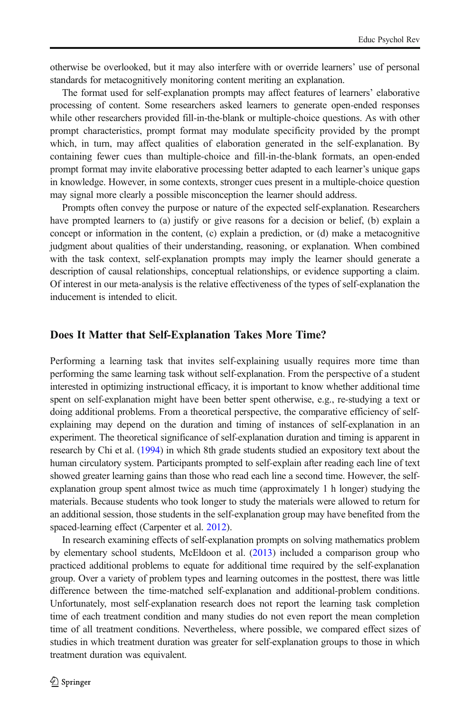otherwise be overlooked, but it may also interfere with or override learners' use of personal standards for metacognitively monitoring content meriting an explanation.

The format used for self-explanation prompts may affect features of learners' elaborative processing of content. Some researchers asked learners to generate open-ended responses while other researchers provided fill-in-the-blank or multiple-choice questions. As with other prompt characteristics, prompt format may modulate specificity provided by the prompt which, in turn, may affect qualities of elaboration generated in the self-explanation. By containing fewer cues than multiple-choice and fill-in-the-blank formats, an open-ended prompt format may invite elaborative processing better adapted to each learner's unique gaps in knowledge. However, in some contexts, stronger cues present in a multiple-choice question may signal more clearly a possible misconception the learner should address.

Prompts often convey the purpose or nature of the expected self-explanation. Researchers have prompted learners to (a) justify or give reasons for a decision or belief, (b) explain a concept or information in the content, (c) explain a prediction, or (d) make a metacognitive judgment about qualities of their understanding, reasoning, or explanation. When combined with the task context, self-explanation prompts may imply the learner should generate a description of causal relationships, conceptual relationships, or evidence supporting a claim. Of interest in our meta-analysis is the relative effectiveness of the types of self-explanation the inducement is intended to elicit.

### Does It Matter that Self-Explanation Takes More Time?

Performing a learning task that invites self-explaining usually requires more time than performing the same learning task without self-explanation. From the perspective of a student interested in optimizing instructional efficacy, it is important to know whether additional time spent on self-explanation might have been better spent otherwise, e.g., re-studying a text or doing additional problems. From a theoretical perspective, the comparative efficiency of selfexplaining may depend on the duration and timing of instances of self-explanation in an experiment. The theoretical significance of self-explanation duration and timing is apparent in research by Chi et al. [\(1994\)](#page-19-0) in which 8th grade students studied an expository text about the human circulatory system. Participants prompted to self-explain after reading each line of text showed greater learning gains than those who read each line a second time. However, the selfexplanation group spent almost twice as much time (approximately 1 h longer) studying the materials. Because students who took longer to study the materials were allowed to return for an additional session, those students in the self-explanation group may have benefited from the spaced-learning effect (Carpenter et al. [2012\)](#page-18-0).

In research examining effects of self-explanation prompts on solving mathematics problem by elementary school students, McEldoon et al. [\(2013\)](#page-21-0) included a comparison group who practiced additional problems to equate for additional time required by the self-explanation group. Over a variety of problem types and learning outcomes in the posttest, there was little difference between the time-matched self-explanation and additional-problem conditions. Unfortunately, most self-explanation research does not report the learning task completion time of each treatment condition and many studies do not even report the mean completion time of all treatment conditions. Nevertheless, where possible, we compared effect sizes of studies in which treatment duration was greater for self-explanation groups to those in which treatment duration was equivalent.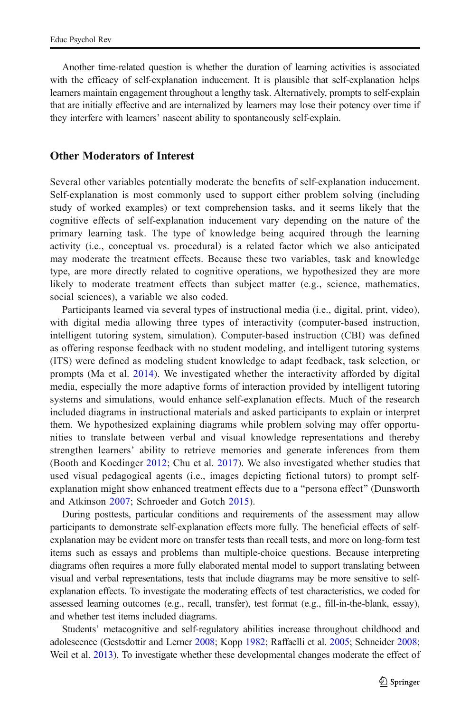Another time-related question is whether the duration of learning activities is associated with the efficacy of self-explanation inducement. It is plausible that self-explanation helps learners maintain engagement throughout a lengthy task. Alternatively, prompts to self-explain that are initially effective and are internalized by learners may lose their potency over time if they interfere with learners' nascent ability to spontaneously self-explain.

### Other Moderators of Interest

Several other variables potentially moderate the benefits of self-explanation inducement. Self-explanation is most commonly used to support either problem solving (including study of worked examples) or text comprehension tasks, and it seems likely that the cognitive effects of self-explanation inducement vary depending on the nature of the primary learning task. The type of knowledge being acquired through the learning activity (i.e., conceptual vs. procedural) is a related factor which we also anticipated may moderate the treatment effects. Because these two variables, task and knowledge type, are more directly related to cognitive operations, we hypothesized they are more likely to moderate treatment effects than subject matter (e.g., science, mathematics, social sciences), a variable we also coded.

Participants learned via several types of instructional media (i.e., digital, print, video), with digital media allowing three types of interactivity (computer-based instruction, intelligent tutoring system, simulation). Computer-based instruction (CBI) was defined as offering response feedback with no student modeling, and intelligent tutoring systems (ITS) were defined as modeling student knowledge to adapt feedback, task selection, or prompts (Ma et al. [2014](#page-21-0)). We investigated whether the interactivity afforded by digital media, especially the more adaptive forms of interaction provided by intelligent tutoring systems and simulations, would enhance self-explanation effects. Much of the research included diagrams in instructional materials and asked participants to explain or interpret them. We hypothesized explaining diagrams while problem solving may offer opportunities to translate between verbal and visual knowledge representations and thereby strengthen learners' ability to retrieve memories and generate inferences from them (Booth and Koedinger [2012](#page-18-0); Chu et al. [2017\)](#page-19-0). We also investigated whether studies that used visual pedagogical agents (i.e., images depicting fictional tutors) to prompt selfexplanation might show enhanced treatment effects due to a "persona effect" (Dunsworth and Atkinson [2007;](#page-19-0) Schroeder and Gotch [2015](#page-21-0)).

During posttests, particular conditions and requirements of the assessment may allow participants to demonstrate self-explanation effects more fully. The beneficial effects of selfexplanation may be evident more on transfer tests than recall tests, and more on long-form test items such as essays and problems than multiple-choice questions. Because interpreting diagrams often requires a more fully elaborated mental model to support translating between visual and verbal representations, tests that include diagrams may be more sensitive to selfexplanation effects. To investigate the moderating effects of test characteristics, we coded for assessed learning outcomes (e.g., recall, transfer), test format (e.g., fill-in-the-blank, essay), and whether test items included diagrams.

Students' metacognitive and self-regulatory abilities increase throughout childhood and adolescence (Gestsdottir and Lerner [2008;](#page-20-0) Kopp [1982](#page-20-0); Raffaelli et al. [2005;](#page-21-0) Schneider [2008](#page-21-0); Weil et al. [2013\)](#page-22-0). To investigate whether these developmental changes moderate the effect of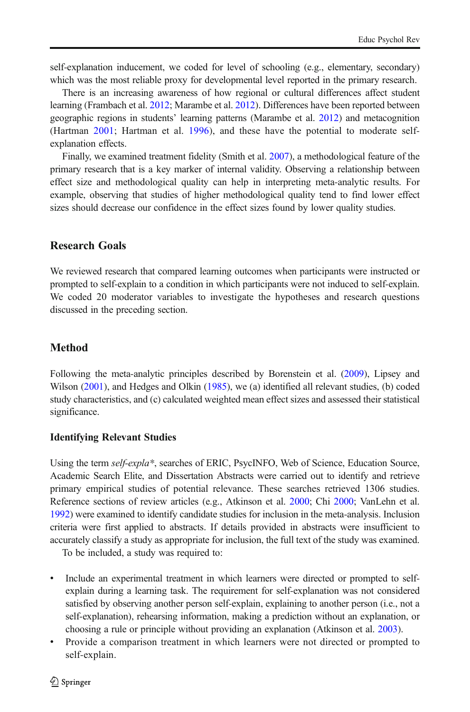self-explanation inducement, we coded for level of schooling (e.g., elementary, secondary) which was the most reliable proxy for developmental level reported in the primary research.

There is an increasing awareness of how regional or cultural differences affect student learning (Frambach et al. [2012;](#page-19-0) Marambe et al. [2012\)](#page-21-0). Differences have been reported between geographic regions in students' learning patterns (Marambe et al. [2012\)](#page-21-0) and metacognition (Hartman [2001;](#page-20-0) Hartman et al. [1996\)](#page-20-0), and these have the potential to moderate selfexplanation effects.

Finally, we examined treatment fidelity (Smith et al. [2007](#page-22-0)), a methodological feature of the primary research that is a key marker of internal validity. Observing a relationship between effect size and methodological quality can help in interpreting meta-analytic results. For example, observing that studies of higher methodological quality tend to find lower effect sizes should decrease our confidence in the effect sizes found by lower quality studies.

# Research Goals

We reviewed research that compared learning outcomes when participants were instructed or prompted to self-explain to a condition in which participants were not induced to self-explain. We coded 20 moderator variables to investigate the hypotheses and research questions discussed in the preceding section.

# Method

Following the meta-analytic principles described by Borenstein et al. ([2009](#page-18-0)), Lipsey and Wilson ([2001](#page-20-0)), and Hedges and Olkin ([1985](#page-20-0)), we (a) identified all relevant studies, (b) coded study characteristics, and (c) calculated weighted mean effect sizes and assessed their statistical significance.

#### Identifying Relevant Studies

Using the term self-expla\*, searches of ERIC, PsycINFO, Web of Science, Education Source, Academic Search Elite, and Dissertation Abstracts were carried out to identify and retrieve primary empirical studies of potential relevance. These searches retrieved 1306 studies. Reference sections of review articles (e.g., Atkinson et al. [2000](#page-18-0); Chi [2000;](#page-18-0) VanLehn et al. [1992](#page-22-0)) were examined to identify candidate studies for inclusion in the meta-analysis. Inclusion criteria were first applied to abstracts. If details provided in abstracts were insufficient to accurately classify a study as appropriate for inclusion, the full text of the study was examined.

To be included, a study was required to:

- Include an experimental treatment in which learners were directed or prompted to selfexplain during a learning task. The requirement for self-explanation was not considered satisfied by observing another person self-explain, explaining to another person (i.e., not a self-explanation), rehearsing information, making a prediction without an explanation, or choosing a rule or principle without providing an explanation (Atkinson et al. [2003\)](#page-18-0).
- & Provide a comparison treatment in which learners were not directed or prompted to self-explain.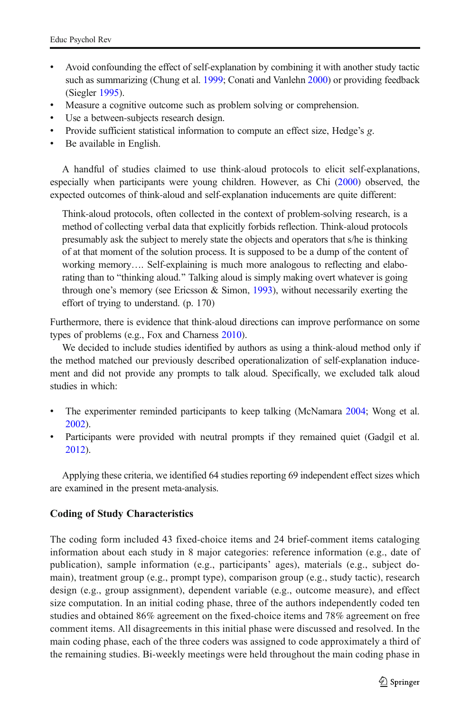- & Avoid confounding the effect of self-explanation by combining it with another study tactic such as summarizing (Chung et al. [1999;](#page-19-0) Conati and Vanlehn [2000](#page-19-0)) or providing feedback (Siegler [1995](#page-21-0)).
- Measure a cognitive outcome such as problem solving or comprehension.
- Use a between-subjects research design.
- Provide sufficient statistical information to compute an effect size, Hedge's g.
- & Be available in English.

A handful of studies claimed to use think-aloud protocols to elicit self-explanations, especially when participants were young children. However, as Chi [\(2000\)](#page-18-0) observed, the expected outcomes of think-aloud and self-explanation inducements are quite different:

Think-aloud protocols, often collected in the context of problem-solving research, is a method of collecting verbal data that explicitly forbids reflection. Think-aloud protocols presumably ask the subject to merely state the objects and operators that s/he is thinking of at that moment of the solution process. It is supposed to be a dump of the content of working memory…. Self-explaining is much more analogous to reflecting and elaborating than to "thinking aloud." Talking aloud is simply making overt whatever is going through one's memory (see Ericsson & Simon, [1993\)](#page-19-0), without necessarily exerting the effort of trying to understand. (p. 170)

Furthermore, there is evidence that think-aloud directions can improve performance on some types of problems (e.g., Fox and Charness [2010\)](#page-19-0).

We decided to include studies identified by authors as using a think-aloud method only if the method matched our previously described operationalization of self-explanation inducement and did not provide any prompts to talk aloud. Specifically, we excluded talk aloud studies in which:

- The experimenter reminded participants to keep talking (McNamara [2004;](#page-21-0) Wong et al. [2002\)](#page-22-0).
- Participants were provided with neutral prompts if they remained quiet (Gadgil et al. [2012\)](#page-20-0).

Applying these criteria, we identified 64 studies reporting 69 independent effect sizes which are examined in the present meta-analysis.

# Coding of Study Characteristics

The coding form included 43 fixed-choice items and 24 brief-comment items cataloging information about each study in 8 major categories: reference information (e.g., date of publication), sample information (e.g., participants' ages), materials (e.g., subject domain), treatment group (e.g., prompt type), comparison group (e.g., study tactic), research design (e.g., group assignment), dependent variable (e.g., outcome measure), and effect size computation. In an initial coding phase, three of the authors independently coded ten studies and obtained 86% agreement on the fixed-choice items and 78% agreement on free comment items. All disagreements in this initial phase were discussed and resolved. In the main coding phase, each of the three coders was assigned to code approximately a third of the remaining studies. Bi-weekly meetings were held throughout the main coding phase in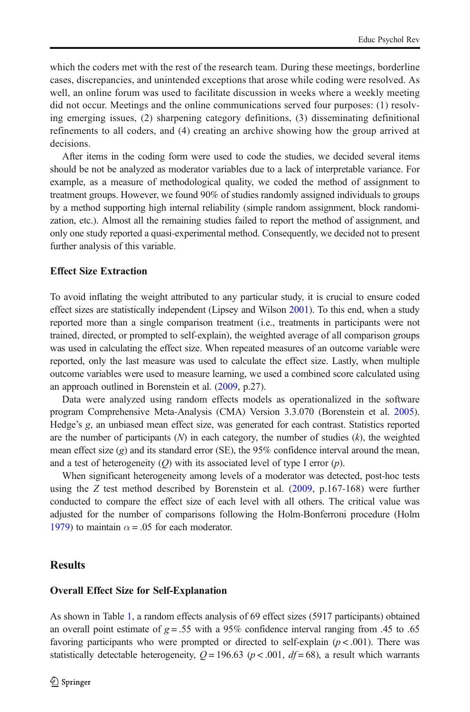which the coders met with the rest of the research team. During these meetings, borderline cases, discrepancies, and unintended exceptions that arose while coding were resolved. As well, an online forum was used to facilitate discussion in weeks where a weekly meeting did not occur. Meetings and the online communications served four purposes: (1) resolving emerging issues, (2) sharpening category definitions, (3) disseminating definitional refinements to all coders, and (4) creating an archive showing how the group arrived at decisions.

After items in the coding form were used to code the studies, we decided several items should be not be analyzed as moderator variables due to a lack of interpretable variance. For example, as a measure of methodological quality, we coded the method of assignment to treatment groups. However, we found 90% of studies randomly assigned individuals to groups by a method supporting high internal reliability (simple random assignment, block randomization, etc.). Almost all the remaining studies failed to report the method of assignment, and only one study reported a quasi-experimental method. Consequently, we decided not to present further analysis of this variable.

### Effect Size Extraction

To avoid inflating the weight attributed to any particular study, it is crucial to ensure coded effect sizes are statistically independent (Lipsey and Wilson [2001](#page-20-0)). To this end, when a study reported more than a single comparison treatment (i.e., treatments in participants were not trained, directed, or prompted to self-explain), the weighted average of all comparison groups was used in calculating the effect size. When repeated measures of an outcome variable were reported, only the last measure was used to calculate the effect size. Lastly, when multiple outcome variables were used to measure learning, we used a combined score calculated using an approach outlined in Borenstein et al. ([2009](#page-18-0), p.27).

Data were analyzed using random effects models as operationalized in the software program Comprehensive Meta-Analysis (CMA) Version 3.3.070 (Borenstein et al. [2005](#page-18-0)). Hedge's g, an unbiased mean effect size, was generated for each contrast. Statistics reported are the number of participants  $(N)$  in each category, the number of studies  $(k)$ , the weighted mean effect size  $(g)$  and its standard error (SE), the 95% confidence interval around the mean, and a test of heterogeneity  $(Q)$  with its associated level of type I error  $(p)$ .

When significant heterogeneity among levels of a moderator was detected, post-hoc tests using the Z test method described by Borenstein et al. [\(2009](#page-18-0), p.167-168) were further conducted to compare the effect size of each level with all others. The critical value was adjusted for the number of comparisons following the Holm-Bonferroni procedure (Holm [1979](#page-20-0)) to maintain  $\alpha = .05$  for each moderator.

### **Results**

#### Overall Effect Size for Self-Explanation

As shown in Table [1](#page-8-0), a random effects analysis of 69 effect sizes (5917 participants) obtained an overall point estimate of  $g = .55$  with a 95% confidence interval ranging from .45 to .65 favoring participants who were prompted or directed to self-explain  $(p < .001)$ . There was statistically detectable heterogeneity,  $Q = 196.63$  ( $p < .001$ ,  $df = 68$ ), a result which warrants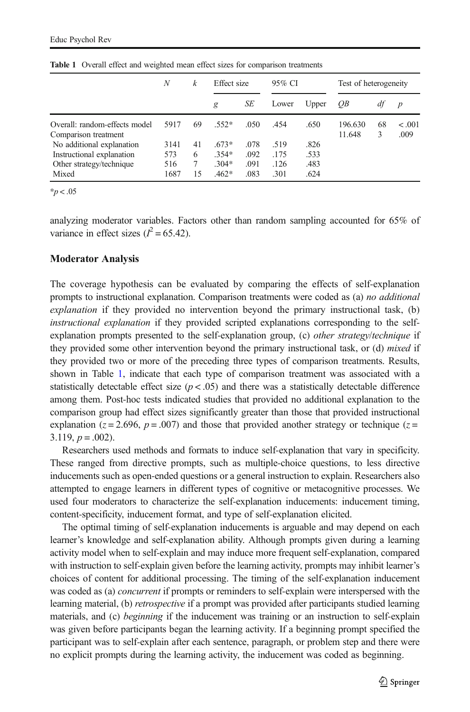|                               | N    | k  | Effect size |      | 95% CI |       | Test of heterogeneity |    |                  |
|-------------------------------|------|----|-------------|------|--------|-------|-----------------------|----|------------------|
|                               |      |    | g           | SE   | Lower  | Upper | OВ                    | dt | $\boldsymbol{p}$ |
| Overall: random-effects model | 5917 | 69 | $.552*$     | .050 | .454   | .650  | 196.630               | 68 | $-.001$          |
| Comparison treatment          |      |    |             |      |        |       | 11.648                | 3  | .009             |
| No additional explanation     | 3141 | 41 | $.673*$     | .078 | .519   | .826  |                       |    |                  |
| Instructional explanation     | 573  | 6  | $.354*$     | .092 | .175   | .533  |                       |    |                  |
| Other strategy/technique      | 516  | 7  | $.304*$     | .091 | .126   | .483  |                       |    |                  |
| Mixed                         | 1687 | 15 | $.462*$     | .083 | .301   | .624  |                       |    |                  |

<span id="page-8-0"></span>Table 1 Overall effect and weighted mean effect sizes for comparison treatments

 $*p < .05$ 

analyzing moderator variables. Factors other than random sampling accounted for 65% of variance in effect sizes  $(l^2 = 65.42)$ .

#### Moderator Analysis

The coverage hypothesis can be evaluated by comparing the effects of self-explanation prompts to instructional explanation. Comparison treatments were coded as (a) no additional explanation if they provided no intervention beyond the primary instructional task, (b) instructional explanation if they provided scripted explanations corresponding to the selfexplanation prompts presented to the self-explanation group, (c) other strategy/technique if they provided some other intervention beyond the primary instructional task, or (d) *mixed* if they provided two or more of the preceding three types of comparison treatments. Results, shown in Table 1, indicate that each type of comparison treatment was associated with a statistically detectable effect size  $(p < .05)$  and there was a statistically detectable difference among them. Post-hoc tests indicated studies that provided no additional explanation to the comparison group had effect sizes significantly greater than those that provided instructional explanation ( $z = 2.696$ ,  $p = .007$ ) and those that provided another strategy or technique ( $z =$  $3.119, p = .002$ ).

Researchers used methods and formats to induce self-explanation that vary in specificity. These ranged from directive prompts, such as multiple-choice questions, to less directive inducements such as open-ended questions or a general instruction to explain. Researchers also attempted to engage learners in different types of cognitive or metacognitive processes. We used four moderators to characterize the self-explanation inducements: inducement timing, content-specificity, inducement format, and type of self-explanation elicited.

The optimal timing of self-explanation inducements is arguable and may depend on each learner's knowledge and self-explanation ability. Although prompts given during a learning activity model when to self-explain and may induce more frequent self-explanation, compared with instruction to self-explain given before the learning activity, prompts may inhibit learner's choices of content for additional processing. The timing of the self-explanation inducement was coded as (a) *concurrent* if prompts or reminders to self-explain were interspersed with the learning material, (b) retrospective if a prompt was provided after participants studied learning materials, and (c) *beginning* if the inducement was training or an instruction to self-explain was given before participants began the learning activity. If a beginning prompt specified the participant was to self-explain after each sentence, paragraph, or problem step and there were no explicit prompts during the learning activity, the inducement was coded as beginning.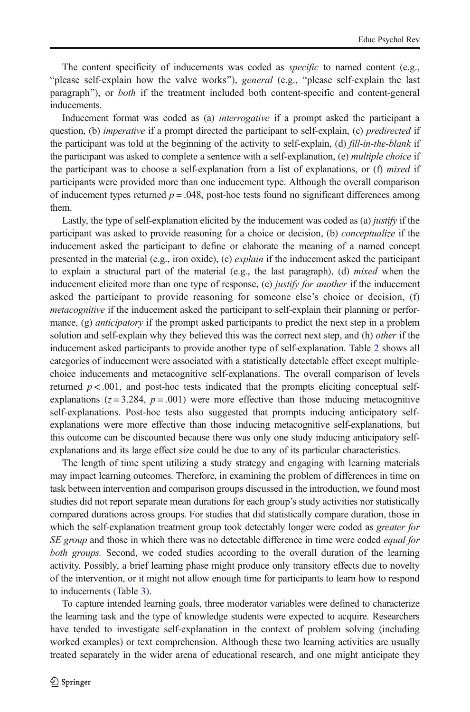The content specificity of inducements was coded as specific to named content (e.g., "please self-explain how the valve works"), general (e.g., "please self-explain the last paragraph"), or *both* if the treatment included both content-specific and content-general inducements.

Inducement format was coded as (a) *interrogative* if a prompt asked the participant a question, (b) *imperative* if a prompt directed the participant to self-explain, (c) *predirected* if the participant was told at the beginning of the activity to self-explain, (d) fill-in-the-blank if the participant was asked to complete a sentence with a self-explanation, (e) *multiple choice* if the participant was to choose a self-explanation from a list of explanations, or  $(f)$  mixed if participants were provided more than one inducement type. Although the overall comparison of inducement types returned  $p = .048$ , post-hoc tests found no significant differences among them.

Lastly, the type of self-explanation elicited by the inducement was coded as (a) justify if the participant was asked to provide reasoning for a choice or decision, (b) conceptualize if the inducement asked the participant to define or elaborate the meaning of a named concept presented in the material (e.g., iron oxide), (c) *explain* if the inducement asked the participant to explain a structural part of the material (e.g., the last paragraph), (d) *mixed* when the inducement elicited more than one type of response, (e) justify for another if the inducement asked the participant to provide reasoning for someone else's choice or decision, (f) metacognitive if the inducement asked the participant to self-explain their planning or performance, (g) *anticipatory* if the prompt asked participants to predict the next step in a problem solution and self-explain why they believed this was the correct next step, and (h) other if the inducement asked participants to provide another type of self-explanation. Table [2](#page-10-0) shows all categories of inducement were associated with a statistically detectable effect except multiplechoice inducements and metacognitive self-explanations. The overall comparison of levels returned  $p < .001$ , and post-hoc tests indicated that the prompts eliciting conceptual selfexplanations ( $z = 3.284$ ,  $p = .001$ ) were more effective than those inducing metacognitive self-explanations. Post-hoc tests also suggested that prompts inducing anticipatory selfexplanations were more effective than those inducing metacognitive self-explanations, but this outcome can be discounted because there was only one study inducing anticipatory selfexplanations and its large effect size could be due to any of its particular characteristics.

The length of time spent utilizing a study strategy and engaging with learning materials may impact learning outcomes. Therefore, in examining the problem of differences in time on task between intervention and comparison groups discussed in the introduction, we found most studies did not report separate mean durations for each group's study activities nor statistically compared durations across groups. For studies that did statistically compare duration, those in which the self-explanation treatment group took detectably longer were coded as *greater for* SE group and those in which there was no detectable difference in time were coded *equal for* both groups. Second, we coded studies according to the overall duration of the learning activity. Possibly, a brief learning phase might produce only transitory effects due to novelty of the intervention, or it might not allow enough time for participants to learn how to respond to inducements (Table [3](#page-10-0)).

To capture intended learning goals, three moderator variables were defined to characterize the learning task and the type of knowledge students were expected to acquire. Researchers have tended to investigate self-explanation in the context of problem solving (including worked examples) or text comprehension. Although these two learning activities are usually treated separately in the wider arena of educational research, and one might anticipate they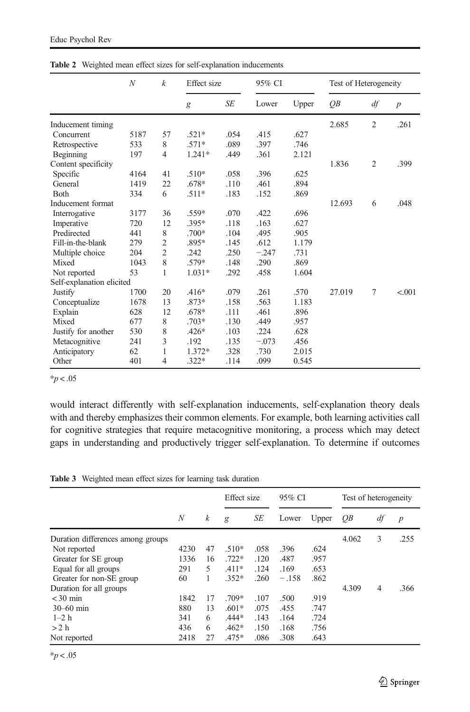|                           | $\boldsymbol{N}$ | $\boldsymbol{k}$ | Effect size |           | 95% CI  |       | Test of Heterogeneity |                |                  |
|---------------------------|------------------|------------------|-------------|-----------|---------|-------|-----------------------|----------------|------------------|
|                           |                  |                  | g           | <b>SE</b> | Lower   | Upper | $\overline{OB}$       | df             | $\boldsymbol{p}$ |
| Inducement timing         |                  |                  |             |           |         |       | 2.685                 | $\overline{2}$ | .261             |
| Concurrent                | 5187             | 57               | $.521*$     | .054      | .415    | .627  |                       |                |                  |
| Retrospective             | 533              | 8                | $.571*$     | .089      | .397    | .746  |                       |                |                  |
| Beginning                 | 197              | 4                | $1.241*$    | .449      | .361    | 2.121 |                       |                |                  |
| Content specificity       |                  |                  |             |           |         |       | 1.836                 | $\overline{2}$ | .399             |
| Specific                  | 4164             | 41               | $.510*$     | .058      | .396    | .625  |                       |                |                  |
| General                   | 1419             | 22               | .678*       | .110      | .461    | .894  |                       |                |                  |
| Both                      | 334              | 6                | $.511*$     | .183      | .152    | .869  |                       |                |                  |
| Inducement format         |                  |                  |             |           |         |       | 12.693                | 6              | .048             |
| Interrogative             | 3177             | 36               | .559*       | .070      | .422    | .696  |                       |                |                  |
| Imperative                | 720              | 12               | $.395*$     | .118      | .163    | .627  |                       |                |                  |
| Predirected               | 441              | 8                | $.700*$     | .104      | .495    | .905  |                       |                |                  |
| Fill-in-the-blank         | 279              | $\mathfrak{2}$   | $.895*$     | .145      | .612    | 1.179 |                       |                |                  |
| Multiple choice           | 204              | $\overline{2}$   | .242        | .250      | $-.247$ | .731  |                       |                |                  |
| Mixed                     | 1043             | 8                | .579*       | .148      | .290    | .869  |                       |                |                  |
| Not reported              | 53               | 1                | $1.031*$    | .292      | .458    | 1.604 |                       |                |                  |
| Self-explanation elicited |                  |                  |             |           |         |       |                       |                |                  |
| Justify                   | 1700             | 20               | $.416*$     | .079      | .261    | .570  | 27.019                | 7              | < 0.001          |
| Conceptualize             | 1678             | 13               | .873*       | .158      | .563    | 1.183 |                       |                |                  |
| Explain                   | 628              | 12               | $.678*$     | .111      | .461    | .896  |                       |                |                  |
| Mixed                     | 677              | 8                | $.703*$     | .130      | .449    | .957  |                       |                |                  |
| Justify for another       | 530              | 8                | $.426*$     | .103      | .224    | .628  |                       |                |                  |
| Metacognitive             | 241              | 3                | .192        | .135      | $-.073$ | .456  |                       |                |                  |
| Anticipatory              | 62               | 1                | 1.372*      | .328      | .730    | 2.015 |                       |                |                  |
| Other                     | 401              | 4                | $.322*$     | .114      | .099    | 0.545 |                       |                |                  |

<span id="page-10-0"></span>Table 2 Weighted mean effect sizes for self-explanation inducements

 $*_{p < .05}$ 

would interact differently with self-explanation inducements, self-explanation theory deals with and thereby emphasizes their common elements. For example, both learning activities call for cognitive strategies that require metacognitive monitoring, a process which may detect gaps in understanding and productively trigger self-explanation. To determine if outcomes

Table 3 Weighted mean effect sizes for learning task duration

|                                   |                  |    |         | Effect size |         | 95% CI |       | Test of heterogeneity |                  |  |
|-----------------------------------|------------------|----|---------|-------------|---------|--------|-------|-----------------------|------------------|--|
|                                   | $\boldsymbol{N}$ | k  | g       | SE          | Lower   | Upper  | OВ    | df                    | $\boldsymbol{p}$ |  |
| Duration differences among groups |                  |    |         |             |         |        | 4.062 | 3                     | .255             |  |
| Not reported                      | 4230             | 47 | $.510*$ | .058        | .396    | .624   |       |                       |                  |  |
| Greater for SE group              | 1336             | 16 | $.722*$ | .120        | .487    | .957   |       |                       |                  |  |
| Equal for all groups              | 291              | 5  | $.411*$ | .124        | .169    | .653   |       |                       |                  |  |
| Greater for non-SE group          | 60               | 1  | $.352*$ | .260        | $-.158$ | .862   |       |                       |                  |  |
| Duration for all groups           |                  |    |         |             |         |        | 4.309 | $\overline{4}$        | .366             |  |
| $<$ 30 min                        | 1842             | 17 | $.709*$ | .107        | .500    | .919   |       |                       |                  |  |
| $30 - 60$ min                     | 880              | 13 | $.601*$ | .075        | .455    | .747   |       |                       |                  |  |
| $1 - 2h$                          | 341              | 6  | $.444*$ | .143        | .164    | .724   |       |                       |                  |  |
| >2 h                              | 436              | 6  | $.462*$ | .150        | .168    | .756   |       |                       |                  |  |
| Not reported                      | 2418             | 27 | $.475*$ | .086        | .308    | .643   |       |                       |                  |  |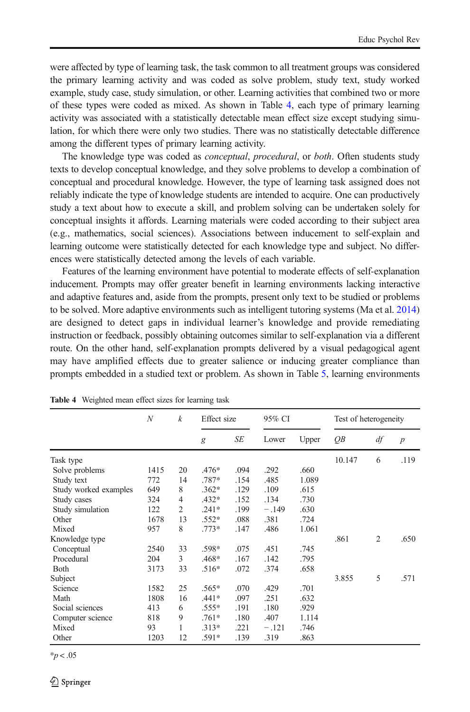<span id="page-11-0"></span>were affected by type of learning task, the task common to all treatment groups was considered the primary learning activity and was coded as solve problem, study text, study worked example, study case, study simulation, or other. Learning activities that combined two or more of these types were coded as mixed. As shown in Table 4, each type of primary learning activity was associated with a statistically detectable mean effect size except studying simulation, for which there were only two studies. There was no statistically detectable difference among the different types of primary learning activity.

The knowledge type was coded as *conceptual, procedural,* or *both*. Often students study texts to develop conceptual knowledge, and they solve problems to develop a combination of conceptual and procedural knowledge. However, the type of learning task assigned does not reliably indicate the type of knowledge students are intended to acquire. One can productively study a text about how to execute a skill, and problem solving can be undertaken solely for conceptual insights it affords. Learning materials were coded according to their subject area (e.g., mathematics, social sciences). Associations between inducement to self-explain and learning outcome were statistically detected for each knowledge type and subject. No differences were statistically detected among the levels of each variable.

Features of the learning environment have potential to moderate effects of self-explanation inducement. Prompts may offer greater benefit in learning environments lacking interactive and adaptive features and, aside from the prompts, present only text to be studied or problems to be solved. More adaptive environments such as intelligent tutoring systems (Ma et al. [2014\)](#page-21-0) are designed to detect gaps in individual learner's knowledge and provide remediating instruction or feedback, possibly obtaining outcomes similar to self-explanation via a different route. On the other hand, self-explanation prompts delivered by a visual pedagogical agent may have amplified effects due to greater salience or inducing greater compliance than prompts embedded in a studied text or problem. As shown in Table [5](#page-12-0), learning environments

|                       | $\boldsymbol{N}$ | $\boldsymbol{k}$ | Effect size |      | 95% CI  |       | Test of heterogeneity |                |                  |
|-----------------------|------------------|------------------|-------------|------|---------|-------|-----------------------|----------------|------------------|
|                       |                  |                  | g           | SE   | Lower   | Upper | QB                    | df             | $\boldsymbol{p}$ |
| Task type             |                  |                  |             |      |         |       | 10.147                | 6              | .119             |
| Solve problems        | 1415             | 20               | $.476*$     | .094 | .292    | .660  |                       |                |                  |
| Study text            | 772              | 14               | .787*       | .154 | .485    | 1.089 |                       |                |                  |
| Study worked examples | 649              | 8                | $.362*$     | .129 | .109    | .615  |                       |                |                  |
| Study cases           | 324              | $\overline{4}$   | $.432*$     | .152 | .134    | .730  |                       |                |                  |
| Study simulation      | 122              | 2                | $.241*$     | .199 | $-.149$ | .630  |                       |                |                  |
| Other                 | 1678             | 13               | $.552*$     | .088 | .381    | .724  |                       |                |                  |
| Mixed                 | 957              | 8                | $.773*$     | .147 | .486    | 1.061 |                       |                |                  |
| Knowledge type        |                  |                  |             |      |         |       | .861                  | $\overline{2}$ | .650             |
| Conceptual            | 2540             | 33               | .598*       | .075 | .451    | .745  |                       |                |                  |
| Procedural            | 204              | 3                | .468*       | .167 | .142    | .795  |                       |                |                  |
| <b>B</b> oth          | 3173             | 33               | $.516*$     | .072 | .374    | .658  |                       |                |                  |
| Subject               |                  |                  |             |      |         |       | 3.855                 | 5              | .571             |
| Science               | 1582             | 25               | $.565*$     | .070 | .429    | .701  |                       |                |                  |
| Math                  | 1808             | 16               | $.441*$     | .097 | .251    | .632  |                       |                |                  |
| Social sciences       | 413              | 6                | $.555*$     | .191 | .180    | .929  |                       |                |                  |
| Computer science      | 818              | 9                | $.761*$     | .180 | .407    | 1.114 |                       |                |                  |
| Mixed                 | 93               | 1                | $.313*$     | .221 | $-.121$ | .746  |                       |                |                  |
| Other                 | 1203             | 12               | $.591*$     | .139 | .319    | .863  |                       |                |                  |

Table 4 Weighted mean effect sizes for learning task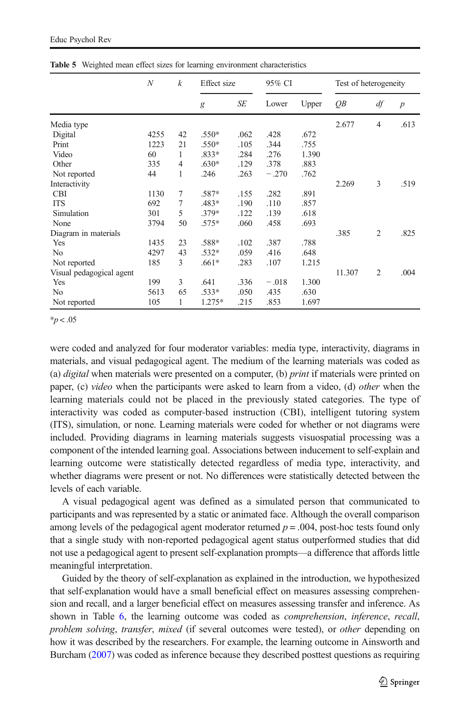|                          | $\mathcal N$ | $\boldsymbol{k}$ | Effect size |      | 95% CI  |       | Test of heterogeneity |                |                  |
|--------------------------|--------------|------------------|-------------|------|---------|-------|-----------------------|----------------|------------------|
|                          |              |                  | g           | SE   | Lower   | Upper | QB                    | df             | $\boldsymbol{p}$ |
| Media type               |              |                  |             |      |         |       | 2.677                 | 4              | .613             |
| Digital                  | 4255         | 42               | $.550*$     | .062 | .428    | .672  |                       |                |                  |
| Print                    | 1223         | 21               | $.550*$     | .105 | .344    | .755  |                       |                |                  |
| Video                    | 60           | 1                | $.833*$     | .284 | .276    | 1.390 |                       |                |                  |
| Other                    | 335          | 4                | $.630*$     | .129 | .378    | .883  |                       |                |                  |
| Not reported             | 44           | 1                | .246        | .263 | $-.270$ | .762  |                       |                |                  |
| Interactivity            |              |                  |             |      |         |       | 2.269                 | 3              | .519             |
| <b>CBI</b>               | 1130         | 7                | .587*       | .155 | .282    | .891  |                       |                |                  |
| <b>ITS</b>               | 692          | 7                | .483*       | .190 | .110    | .857  |                       |                |                  |
| Simulation               | 301          | 5                | $.379*$     | .122 | .139    | .618  |                       |                |                  |
| None                     | 3794         | 50               | $.575*$     | .060 | .458    | .693  |                       |                |                  |
| Diagram in materials     |              |                  |             |      |         |       | .385                  | $\overline{2}$ | .825             |
| Yes                      | 1435         | 23               | .588*       | .102 | .387    | .788  |                       |                |                  |
| N <sub>0</sub>           | 4297         | 43               | $.532*$     | .059 | .416    | .648  |                       |                |                  |
| Not reported             | 185          | 3                | $.661*$     | .283 | .107    | 1.215 |                       |                |                  |
| Visual pedagogical agent |              |                  |             |      |         |       | 11.307                | $\overline{2}$ | .004             |
| Yes                      | 199          | 3                | .641        | .336 | $-.018$ | 1.300 |                       |                |                  |
| N <sub>0</sub>           | 5613         | 65               | $.533*$     | .050 | .435    | .630  |                       |                |                  |
| Not reported             | 105          | 1                | 1.275*      | .215 | .853    | 1.697 |                       |                |                  |

<span id="page-12-0"></span>Table 5 Weighted mean effect sizes for learning environment characteristics

 $*p < .05$ 

were coded and analyzed for four moderator variables: media type, interactivity, diagrams in materials, and visual pedagogical agent. The medium of the learning materials was coded as (a) *digital* when materials were presented on a computer, (b) *print* if materials were printed on paper, (c) video when the participants were asked to learn from a video, (d) other when the learning materials could not be placed in the previously stated categories. The type of interactivity was coded as computer-based instruction (CBI), intelligent tutoring system (ITS), simulation, or none. Learning materials were coded for whether or not diagrams were included. Providing diagrams in learning materials suggests visuospatial processing was a component of the intended learning goal. Associations between inducement to self-explain and learning outcome were statistically detected regardless of media type, interactivity, and whether diagrams were present or not. No differences were statistically detected between the levels of each variable.

A visual pedagogical agent was defined as a simulated person that communicated to participants and was represented by a static or animated face. Although the overall comparison among levels of the pedagogical agent moderator returned  $p = .004$ , post-hoc tests found only that a single study with non-reported pedagogical agent status outperformed studies that did not use a pedagogical agent to present self-explanation prompts—a difference that affords little meaningful interpretation.

Guided by the theory of self-explanation as explained in the introduction, we hypothesized that self-explanation would have a small beneficial effect on measures assessing comprehension and recall, and a larger beneficial effect on measures assessing transfer and inference. As shown in Table [6](#page-13-0), the learning outcome was coded as comprehension, inference, recall, problem solving, transfer, mixed (if several outcomes were tested), or other depending on how it was described by the researchers. For example, the learning outcome in Ainsworth and Burcham ([2007](#page-18-0)) was coded as inference because they described posttest questions as requiring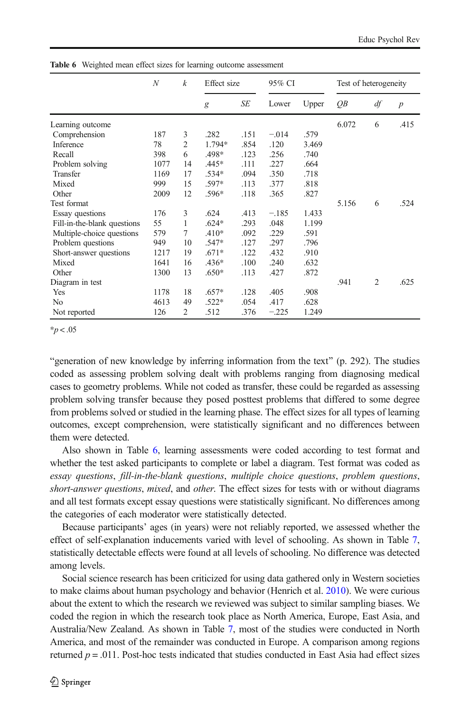|                             | N    | k              | Effect size |      | 95% CI  |       | Test of heterogeneity |    |                  |
|-----------------------------|------|----------------|-------------|------|---------|-------|-----------------------|----|------------------|
|                             |      |                | g           | SE   | Lower   | Upper | QВ                    | df | $\boldsymbol{p}$ |
| Learning outcome            |      |                |             |      |         |       | 6.072                 | 6  | .415             |
| Comprehension               | 187  | 3              | .282        | .151 | $-.014$ | .579  |                       |    |                  |
| Inference                   | 78   | 2              | 1.794*      | .854 | .120    | 3.469 |                       |    |                  |
| Recall                      | 398  | 6              | .498*       | .123 | .256    | .740  |                       |    |                  |
| Problem solving             | 1077 | 14             | $.445*$     | .111 | .227    | .664  |                       |    |                  |
| Transfer                    | 1169 | 17             | $.534*$     | .094 | .350    | .718  |                       |    |                  |
| Mixed                       | 999  | 15             | .597*       | .113 | .377    | .818  |                       |    |                  |
| Other                       | 2009 | 12             | .596*       | .118 | .365    | .827  |                       |    |                  |
| Test format                 |      |                |             |      |         |       | 5.156                 | 6  | .524             |
| Essay questions             | 176  | 3              | .624        | .413 | $-.185$ | 1.433 |                       |    |                  |
| Fill-in-the-blank questions | 55   | 1              | $.624*$     | .293 | .048    | 1.199 |                       |    |                  |
| Multiple-choice questions   | 579  | 7              | $.410*$     | .092 | .229    | .591  |                       |    |                  |
| Problem questions           | 949  | 10             | .547*       | .127 | .297    | .796  |                       |    |                  |
| Short-answer questions      | 1217 | 19             | $.671*$     | .122 | .432    | .910  |                       |    |                  |
| Mixed                       | 1641 | 16             | $.436*$     | .100 | .240    | .632  |                       |    |                  |
| Other                       | 1300 | 13             | $.650*$     | .113 | .427    | .872  |                       |    |                  |
| Diagram in test             |      |                |             |      |         |       | .941                  | 2  | .625             |
| Yes                         | 1178 | 18             | $.657*$     | .128 | .405    | .908  |                       |    |                  |
| No                          | 4613 | 49             | $.522*$     | .054 | .417    | .628  |                       |    |                  |
| Not reported                | 126  | $\overline{2}$ | .512        | .376 | $-.225$ | 1.249 |                       |    |                  |

<span id="page-13-0"></span>Table 6 Weighted mean effect sizes for learning outcome assessment

 $*p < .05$ 

"generation of new knowledge by inferring information from the text" (p. 292). The studies coded as assessing problem solving dealt with problems ranging from diagnosing medical cases to geometry problems. While not coded as transfer, these could be regarded as assessing problem solving transfer because they posed posttest problems that differed to some degree from problems solved or studied in the learning phase. The effect sizes for all types of learning outcomes, except comprehension, were statistically significant and no differences between them were detected.

Also shown in Table 6, learning assessments were coded according to test format and whether the test asked participants to complete or label a diagram. Test format was coded as essay questions, fill-in-the-blank questions, multiple choice questions, problem questions, short-answer questions, mixed, and other. The effect sizes for tests with or without diagrams and all test formats except essay questions were statistically significant. No differences among the categories of each moderator were statistically detected.

Because participants' ages (in years) were not reliably reported, we assessed whether the effect of self-explanation inducements varied with level of schooling. As shown in Table [7](#page-14-0), statistically detectable effects were found at all levels of schooling. No difference was detected among levels.

Social science research has been criticized for using data gathered only in Western societies to make claims about human psychology and behavior (Henrich et al. [2010](#page-20-0)). We were curious about the extent to which the research we reviewed was subject to similar sampling biases. We coded the region in which the research took place as North America, Europe, East Asia, and Australia/New Zealand. As shown in Table [7,](#page-14-0) most of the studies were conducted in North America, and most of the remainder was conducted in Europe. A comparison among regions returned  $p = .011$ . Post-hoc tests indicated that studies conducted in East Asia had effect sizes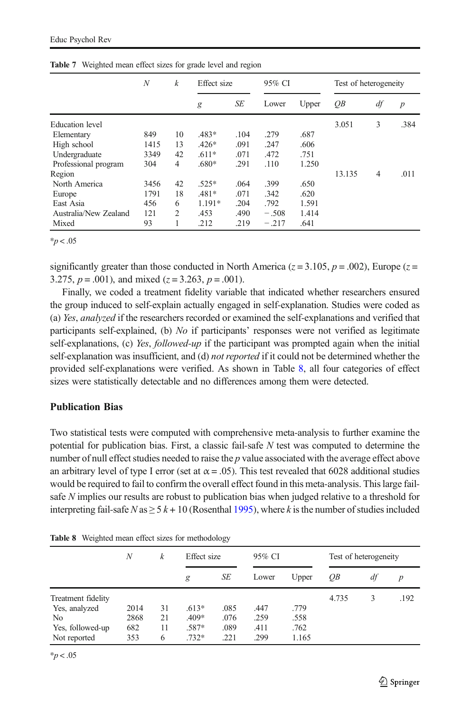|                        | N    | $\boldsymbol{k}$ | Effect size |      | 95% CI  |       | Test of heterogeneity |    |                  |
|------------------------|------|------------------|-------------|------|---------|-------|-----------------------|----|------------------|
|                        |      |                  | g           | SE   | Lower   | Upper | QB                    | df | $\boldsymbol{p}$ |
| <b>Education</b> level |      |                  |             |      |         |       | 3.051                 | 3  | .384             |
| Elementary             | 849  | 10               | $.483*$     | .104 | .279    | .687  |                       |    |                  |
| High school            | 1415 | 13               | $.426*$     | .091 | .247    | .606  |                       |    |                  |
| Undergraduate          | 3349 | 42               | $.611*$     | .071 | .472    | .751  |                       |    |                  |
| Professional program   | 304  | 4                | .680*       | .291 | .110    | 1.250 |                       |    |                  |
| Region                 |      |                  |             |      |         |       | 13.135                | 4  | .011             |
| North America          | 3456 | 42               | $.525*$     | .064 | .399    | .650  |                       |    |                  |
| Europe                 | 1791 | 18               | $.481*$     | .071 | .342    | .620  |                       |    |                  |
| East Asia              | 456  | 6                | 1.191*      | .204 | .792    | 1.591 |                       |    |                  |
| Australia/New Zealand  | 121  | $\overline{c}$   | .453        | .490 | $-.508$ | 1.414 |                       |    |                  |
| Mixed                  | 93   |                  | .212        | .219 | $-.217$ | .641  |                       |    |                  |

<span id="page-14-0"></span>Table 7 Weighted mean effect sizes for grade level and region

 $*_{p}$  < .05

significantly greater than those conducted in North America ( $z = 3.105$ ,  $p = .002$ ), Europe ( $z =$ 3.275,  $p = .001$ ), and mixed ( $z = 3.263$ ,  $p = .001$ ).

Finally, we coded a treatment fidelity variable that indicated whether researchers ensured the group induced to self-explain actually engaged in self-explanation. Studies were coded as (a) Yes, analyzed if the researchers recorded or examined the self-explanations and verified that participants self-explained, (b) No if participants' responses were not verified as legitimate self-explanations, (c) Yes, followed-up if the participant was prompted again when the initial self-explanation was insufficient, and (d) *not reported* if it could not be determined whether the provided self-explanations were verified. As shown in Table 8, all four categories of effect sizes were statistically detectable and no differences among them were detected.

### Publication Bias

Two statistical tests were computed with comprehensive meta-analysis to further examine the potential for publication bias. First, a classic fail-safe  $N$  test was computed to determine the number of null effect studies needed to raise the  $p$  value associated with the average effect above an arbitrary level of type I error (set at  $\alpha$  = .05). This test revealed that 6028 additional studies would be required to fail to confirm the overall effect found in this meta-analysis. This large failsafe N implies our results are robust to publication bias when judged relative to a threshold for interpreting fail-safe N as  $\geq 5$  k + 10 (Rosenthal [1995\)](#page-21-0), where k is the number of studies included

|                    | N    | k  | Effect size |      | 95% CI |       | Test of heterogeneity |    |      |
|--------------------|------|----|-------------|------|--------|-------|-----------------------|----|------|
|                    |      |    | g           | SE   | Lower  | Upper | OВ                    | df | p    |
| Treatment fidelity |      |    |             |      |        |       | 4.735                 | 3  | .192 |
| Yes, analyzed      | 2014 | 31 | $.613*$     | .085 | .447   | .779  |                       |    |      |
| No.                | 2868 | 21 | $.409*$     | .076 | .259   | .558  |                       |    |      |
| Yes, followed-up   | 682  | 11 | .587*       | .089 | .411   | .762  |                       |    |      |
| Not reported       | 353  | 6  | $.732*$     | .221 | .299   | 1.165 |                       |    |      |

Table 8 Weighted mean effect sizes for methodology

 $*p < .05$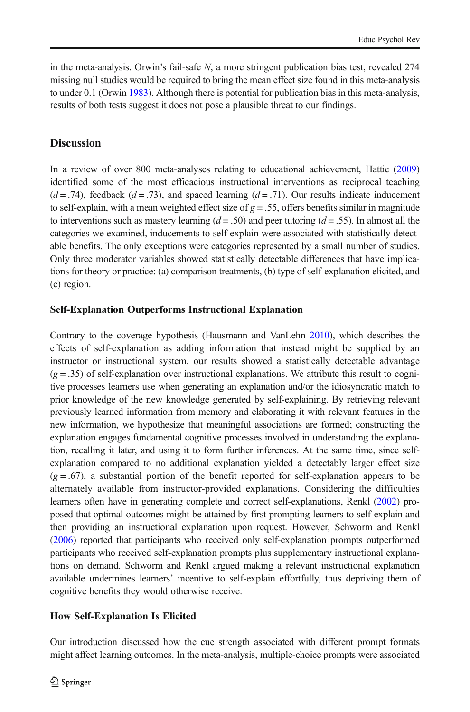in the meta-analysis. Orwin's fail-safe N, a more stringent publication bias test, revealed 274 missing null studies would be required to bring the mean effect size found in this meta-analysis to under 0.1 (Orwin [1983\)](#page-21-0). Although there is potential for publication bias in this meta-analysis, results of both tests suggest it does not pose a plausible threat to our findings.

# **Discussion**

In a review of over 800 meta-analyses relating to educational achievement, Hattie [\(2009\)](#page-20-0) identified some of the most efficacious instructional interventions as reciprocal teaching  $(d = .74)$ , feedback  $(d = .73)$ , and spaced learning  $(d = .71)$ . Our results indicate inducement to self-explain, with a mean weighted effect size of  $g = 0.55$ , offers benefits similar in magnitude to interventions such as mastery learning  $(d = .50)$  and peer tutoring  $(d = .55)$ . In almost all the categories we examined, inducements to self-explain were associated with statistically detectable benefits. The only exceptions were categories represented by a small number of studies. Only three moderator variables showed statistically detectable differences that have implications for theory or practice: (a) comparison treatments, (b) type of self-explanation elicited, and (c) region.

# Self-Explanation Outperforms Instructional Explanation

Contrary to the coverage hypothesis (Hausmann and VanLehn [2010](#page-20-0)), which describes the effects of self-explanation as adding information that instead might be supplied by an instructor or instructional system, our results showed a statistically detectable advantage  $(g = .35)$  of self-explanation over instructional explanations. We attribute this result to cognitive processes learners use when generating an explanation and/or the idiosyncratic match to prior knowledge of the new knowledge generated by self-explaining. By retrieving relevant previously learned information from memory and elaborating it with relevant features in the new information, we hypothesize that meaningful associations are formed; constructing the explanation engages fundamental cognitive processes involved in understanding the explanation, recalling it later, and using it to form further inferences. At the same time, since selfexplanation compared to no additional explanation yielded a detectably larger effect size  $(g = .67)$ , a substantial portion of the benefit reported for self-explanation appears to be alternately available from instructor-provided explanations. Considering the difficulties learners often have in generating complete and correct self-explanations, Renkl [\(2002\)](#page-21-0) proposed that optimal outcomes might be attained by first prompting learners to self-explain and then providing an instructional explanation upon request. However, Schworm and Renkl ([2006](#page-21-0)) reported that participants who received only self-explanation prompts outperformed participants who received self-explanation prompts plus supplementary instructional explanations on demand. Schworm and Renkl argued making a relevant instructional explanation available undermines learners' incentive to self-explain effortfully, thus depriving them of cognitive benefits they would otherwise receive.

# How Self-Explanation Is Elicited

Our introduction discussed how the cue strength associated with different prompt formats might affect learning outcomes. In the meta-analysis, multiple-choice prompts were associated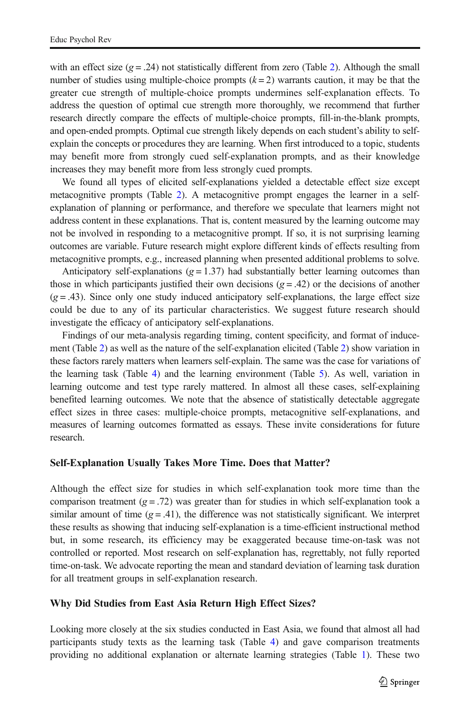with an effect size ( $g = .24$  $g = .24$  $g = .24$ ) not statistically different from zero (Table 2). Although the small number of studies using multiple-choice prompts  $(k=2)$  warrants caution, it may be that the greater cue strength of multiple-choice prompts undermines self-explanation effects. To address the question of optimal cue strength more thoroughly, we recommend that further research directly compare the effects of multiple-choice prompts, fill-in-the-blank prompts, and open-ended prompts. Optimal cue strength likely depends on each student's ability to selfexplain the concepts or procedures they are learning. When first introduced to a topic, students may benefit more from strongly cued self-explanation prompts, and as their knowledge increases they may benefit more from less strongly cued prompts.

We found all types of elicited self-explanations yielded a detectable effect size except metacognitive prompts (Table [2\)](#page-10-0). A metacognitive prompt engages the learner in a selfexplanation of planning or performance, and therefore we speculate that learners might not address content in these explanations. That is, content measured by the learning outcome may not be involved in responding to a metacognitive prompt. If so, it is not surprising learning outcomes are variable. Future research might explore different kinds of effects resulting from metacognitive prompts, e.g., increased planning when presented additional problems to solve.

Anticipatory self-explanations  $(g = 1.37)$  had substantially better learning outcomes than those in which participants justified their own decisions  $(g = .42)$  or the decisions of another  $(g = .43)$ . Since only one study induced anticipatory self-explanations, the large effect size could be due to any of its particular characteristics. We suggest future research should investigate the efficacy of anticipatory self-explanations.

Findings of our meta-analysis regarding timing, content specificity, and format of inducement (Table [2\)](#page-10-0) as well as the nature of the self-explanation elicited (Table [2](#page-10-0)) show variation in these factors rarely matters when learners self-explain. The same was the case for variations of the learning task (Table [4\)](#page-11-0) and the learning environment (Table [5](#page-12-0)). As well, variation in learning outcome and test type rarely mattered. In almost all these cases, self-explaining benefited learning outcomes. We note that the absence of statistically detectable aggregate effect sizes in three cases: multiple-choice prompts, metacognitive self-explanations, and measures of learning outcomes formatted as essays. These invite considerations for future research.

#### Self-Explanation Usually Takes More Time. Does that Matter?

Although the effect size for studies in which self-explanation took more time than the comparison treatment ( $g = .72$ ) was greater than for studies in which self-explanation took a similar amount of time  $(g = .41)$ , the difference was not statistically significant. We interpret these results as showing that inducing self-explanation is a time-efficient instructional method but, in some research, its efficiency may be exaggerated because time-on-task was not controlled or reported. Most research on self-explanation has, regrettably, not fully reported time-on-task. We advocate reporting the mean and standard deviation of learning task duration for all treatment groups in self-explanation research.

#### Why Did Studies from East Asia Return High Effect Sizes?

Looking more closely at the six studies conducted in East Asia, we found that almost all had participants study texts as the learning task (Table [4\)](#page-11-0) and gave comparison treatments providing no additional explanation or alternate learning strategies (Table [1\)](#page-8-0). These two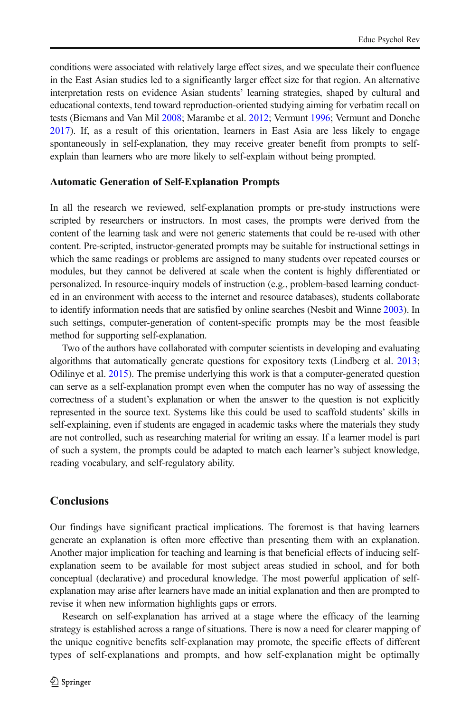conditions were associated with relatively large effect sizes, and we speculate their confluence in the East Asian studies led to a significantly larger effect size for that region. An alternative interpretation rests on evidence Asian students' learning strategies, shaped by cultural and educational contexts, tend toward reproduction-oriented studying aiming for verbatim recall on tests (Biemans and Van Mil [2008;](#page-18-0) Marambe et al. [2012](#page-21-0); Vermunt [1996;](#page-22-0) Vermunt and Donche [2017\)](#page-22-0). If, as a result of this orientation, learners in East Asia are less likely to engage spontaneously in self-explanation, they may receive greater benefit from prompts to selfexplain than learners who are more likely to self-explain without being prompted.

#### Automatic Generation of Self-Explanation Prompts

In all the research we reviewed, self-explanation prompts or pre-study instructions were scripted by researchers or instructors. In most cases, the prompts were derived from the content of the learning task and were not generic statements that could be re-used with other content. Pre-scripted, instructor-generated prompts may be suitable for instructional settings in which the same readings or problems are assigned to many students over repeated courses or modules, but they cannot be delivered at scale when the content is highly differentiated or personalized. In resource-inquiry models of instruction (e.g., problem-based learning conducted in an environment with access to the internet and resource databases), students collaborate to identify information needs that are satisfied by online searches (Nesbit and Winne [2003](#page-21-0)). In such settings, computer-generation of content-specific prompts may be the most feasible method for supporting self-explanation.

Two of the authors have collaborated with computer scientists in developing and evaluating algorithms that automatically generate questions for expository texts (Lindberg et al. [2013](#page-20-0); Odilinye et al. [2015](#page-21-0)). The premise underlying this work is that a computer-generated question can serve as a self-explanation prompt even when the computer has no way of assessing the correctness of a student's explanation or when the answer to the question is not explicitly represented in the source text. Systems like this could be used to scaffold students' skills in self-explaining, even if students are engaged in academic tasks where the materials they study are not controlled, such as researching material for writing an essay. If a learner model is part of such a system, the prompts could be adapted to match each learner's subject knowledge, reading vocabulary, and self-regulatory ability.

### **Conclusions**

Our findings have significant practical implications. The foremost is that having learners generate an explanation is often more effective than presenting them with an explanation. Another major implication for teaching and learning is that beneficial effects of inducing selfexplanation seem to be available for most subject areas studied in school, and for both conceptual (declarative) and procedural knowledge. The most powerful application of selfexplanation may arise after learners have made an initial explanation and then are prompted to revise it when new information highlights gaps or errors.

Research on self-explanation has arrived at a stage where the efficacy of the learning strategy is established across a range of situations. There is now a need for clearer mapping of the unique cognitive benefits self-explanation may promote, the specific effects of different types of self-explanations and prompts, and how self-explanation might be optimally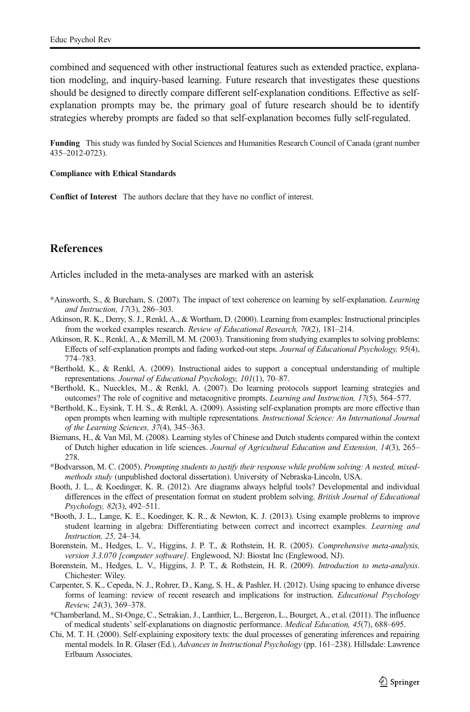<span id="page-18-0"></span>combined and sequenced with other instructional features such as extended practice, explanation modeling, and inquiry-based learning. Future research that investigates these questions should be designed to directly compare different self-explanation conditions. Effective as selfexplanation prompts may be, the primary goal of future research should be to identify strategies whereby prompts are faded so that self-explanation becomes fully self-regulated.

Funding This study was funded by Social Sciences and Humanities Research Council of Canada (grant number 435–2012-0723).

#### Compliance with Ethical Standards

Conflict of Interest The authors declare that they have no conflict of interest.

# **References**

Articles included in the meta-analyses are marked with an asterisk

- \*Ainsworth, S., & Burcham, S. (2007). The impact of text coherence on learning by self-explanation. Learning and Instruction, 17(3), 286–303.
- Atkinson, R. K., Derry, S. J., Renkl, A., & Wortham, D. (2000). Learning from examples: Instructional principles from the worked examples research. Review of Educational Research, 70(2), 181–214.
- Atkinson, R. K., Renkl, A., & Merrill, M. M. (2003). Transitioning from studying examples to solving problems: Effects of self-explanation prompts and fading worked-out steps. Journal of Educational Psychology, 95(4), 774–783.
- \*Berthold, K., & Renkl, A. (2009). Instructional aides to support a conceptual understanding of multiple representations. Journal of Educational Psychology, 101(1), 70–87.
- \*Berthold, K., Nueckles, M., & Renkl, A. (2007). Do learning protocols support learning strategies and outcomes? The role of cognitive and metacognitive prompts. Learning and Instruction, 17(5), 564–577.
- \*Berthold, K., Eysink, T. H. S., & Renkl, A. (2009). Assisting self-explanation prompts are more effective than open prompts when learning with multiple representations. Instructional Science: An International Journal of the Learning Sciences, 37(4), 345–363.
- Biemans, H., & Van Mil, M. (2008). Learning styles of Chinese and Dutch students compared within the context of Dutch higher education in life sciences. Journal of Agricultural Education and Extension, 14(3), 265– 278.
- \*Bodvarsson, M. C. (2005). Prompting students to justify their response while problem solving: A nested, mixedmethods study (unpublished doctoral dissertation). University of Nebraska-Lincoln, USA.
- Booth, J. L., & Koedinger, K. R. (2012). Are diagrams always helpful tools? Developmental and individual differences in the effect of presentation format on student problem solving. British Journal of Educational Psychology, 82(3), 492–511.
- \*Booth, J. L., Lange, K. E., Koedinger, K. R., & Newton, K. J. (2013). Using example problems to improve student learning in algebra: Differentiating between correct and incorrect examples. Learning and Instruction, 25, 24–34.
- Borenstein, M., Hedges, L. V., Higgins, J. P. T., & Rothstein, H. R. (2005). Comprehensive meta-analysis, version 3.3.070 [computer software]. Englewood, NJ: Biostat Inc (Englewood, NJ).
- Borenstein, M., Hedges, L. V., Higgins, J. P. T., & Rothstein, H. R. (2009). *Introduction to meta-analysis*. Chichester: Wiley.
- Carpenter, S. K., Cepeda, N. J., Rohrer, D., Kang, S. H., & Pashler, H. (2012). Using spacing to enhance diverse forms of learning: review of recent research and implications for instruction. Educational Psychology Review, 24(3), 369–378.
- \*Chamberland, M., St-Onge, C., Setrakian, J., Lanthier, L., Bergeron, L., Bourget, A., et al. (2011). The influence of medical students' self-explanations on diagnostic performance. Medical Education, 45(7), 688–695.
- Chi, M. T. H. (2000). Self-explaining expository texts: the dual processes of generating inferences and repairing mental models. In R. Glaser (Ed.), Advances in Instructional Psychology (pp. 161-238). Hillsdale: Lawrence Erlbaum Associates.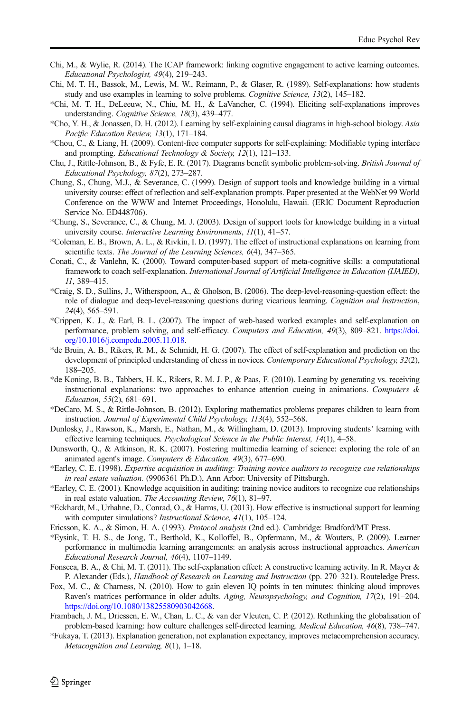- <span id="page-19-0"></span>Chi, M., & Wylie, R. (2014). The ICAP framework: linking cognitive engagement to active learning outcomes. Educational Psychologist, 49(4), 219–243.
- Chi, M. T. H., Bassok, M., Lewis, M. W., Reimann, P., & Glaser, R. (1989). Self-explanations: how students study and use examples in learning to solve problems. *Cognitive Science*, 13(2), 145–182.
- \*Chi, M. T. H., DeLeeuw, N., Chiu, M. H., & LaVancher, C. (1994). Eliciting self-explanations improves understanding. Cognitive Science, 18(3), 439–477.
- \*Cho, Y. H., & Jonassen, D. H. (2012). Learning by self-explaining causal diagrams in high-school biology. Asia Pacific Education Review, 13(1), 171–184.
- \*Chou, C., & Liang, H. (2009). Content-free computer supports for self-explaining: Modifiable typing interface and prompting. Educational Technology & Society, 12(1), 121–133.
- Chu, J., Rittle-Johnson, B., & Fyfe, E. R. (2017). Diagrams benefit symbolic problem-solving. British Journal of Educational Psychology, 87(2), 273–287.
- Chung, S., Chung, M.J., & Severance, C. (1999). Design of support tools and knowledge building in a virtual university course: effect of reflection and self-explanation prompts. Paper presented at the WebNet 99 World Conference on the WWW and Internet Proceedings, Honolulu, Hawaii. (ERIC Document Reproduction Service No. ED448706).
- \*Chung, S., Severance, C., & Chung, M. J. (2003). Design of support tools for knowledge building in a virtual university course. Interactive Learning Environments, 11(1), 41-57.
- \*Coleman, E. B., Brown, A. L., & Rivkin, I. D. (1997). The effect of instructional explanations on learning from scientific texts. The Journal of the Learning Sciences, 6(4), 347-365.
- Conati, C., & Vanlehn, K. (2000). Toward computer-based support of meta-cognitive skills: a computational framework to coach self-explanation. International Journal of Artificial Intelligence in Education (IJAIED), 11, 389–415.
- \*Craig, S. D., Sullins, J., Witherspoon, A., & Gholson, B. (2006). The deep-level-reasoning-question effect: the role of dialogue and deep-level-reasoning questions during vicarious learning. Cognition and Instruction, 24(4), 565–591.
- \*Crippen, K. J., & Earl, B. L. (2007). The impact of web-based worked examples and self-explanation on performance, problem solving, and self-efficacy. Computers and Education, 49(3), 809–821. [https://doi.](https://doi.org/10.1016/j.compedu.2005.11.018) [org/10.1016/j.compedu.2005.11.018.](https://doi.org/10.1016/j.compedu.2005.11.018)
- \*de Bruin, A. B., Rikers, R. M., & Schmidt, H. G. (2007). The effect of self-explanation and prediction on the development of principled understanding of chess in novices. Contemporary Educational Psychology, 32(2), 188–205.
- \*de Koning, B. B., Tabbers, H. K., Rikers, R. M. J. P., & Paas, F. (2010). Learning by generating vs. receiving instructional explanations: two approaches to enhance attention cueing in animations. Computers  $\&$ Education, 55(2), 681–691.
- \*DeCaro, M. S., & Rittle-Johnson, B. (2012). Exploring mathematics problems prepares children to learn from instruction. Journal of Experimental Child Psychology, 113(4), 552–568.
- Dunlosky, J., Rawson, K., Marsh, E., Nathan, M., & Willingham, D. (2013). Improving students' learning with effective learning techniques. Psychological Science in the Public Interest, 14(1), 4–58.
- Dunsworth, Q., & Atkinson, R. K. (2007). Fostering multimedia learning of science: exploring the role of an animated agent's image. Computers & Education, 49(3), 677–690.
- \*Earley, C. E. (1998). Expertise acquisition in auditing: Training novice auditors to recognize cue relationships in real estate valuation. (9906361 Ph.D.), Ann Arbor: University of Pittsburgh.
- \*Earley, C. E. (2001). Knowledge acquisition in auditing: training novice auditors to recognize cue relationships in real estate valuation. The Accounting Review, 76(1), 81–97.
- \*Eckhardt, M., Urhahne, D., Conrad, O., & Harms, U. (2013). How effective is instructional support for learning with computer simulations? *Instructional Science*, 41(1), 105-124.
- Ericsson, K. A., & Simon, H. A. (1993). Protocol analysis (2nd ed.). Cambridge: Bradford/MT Press.
- \*Eysink, T. H. S., de Jong, T., Berthold, K., Kolloffel, B., Opfermann, M., & Wouters, P. (2009). Learner performance in multimedia learning arrangements: an analysis across instructional approaches. American Educational Research Journal, 46(4), 1107–1149.
- Fonseca, B. A., & Chi, M. T. (2011). The self-explanation effect: A constructive learning activity. In R. Mayer & P. Alexander (Eds.), Handbook of Research on Learning and Instruction (pp. 270–321). Routeledge Press.
- Fox, M. C., & Charness, N. (2010). How to gain eleven IQ points in ten minutes: thinking aloud improves Raven's matrices performance in older adults. Aging, Neuropsychology, and Cognition, 17(2), 191–204. [https://doi.org/10.1080/13825580903042668.](https://doi.org/10.1080/13825580903042668)
- Frambach, J. M., Driessen, E. W., Chan, L. C., & van der Vleuten, C. P. (2012). Rethinking the globalisation of problem-based learning: how culture challenges self-directed learning. Medical Education, 46(8), 738–747.
- \*Fukaya, T. (2013). Explanation generation, not explanation expectancy, improves metacomprehension accuracy. Metacognition and Learning, 8(1), 1–18.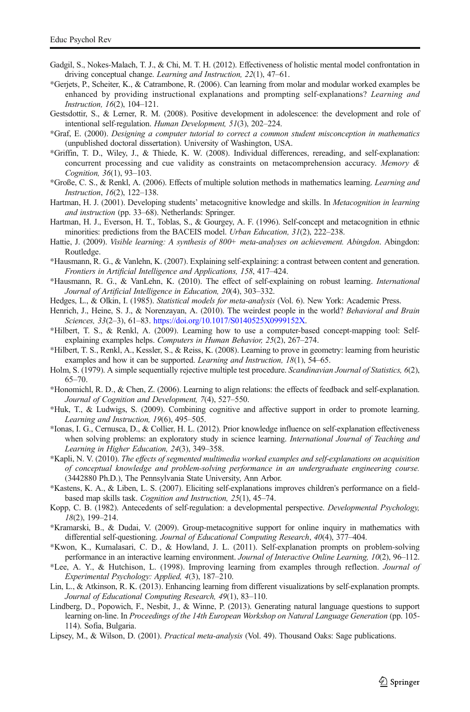- <span id="page-20-0"></span>Gadgil, S., Nokes-Malach, T. J., & Chi, M. T. H. (2012). Effectiveness of holistic mental model confrontation in driving conceptual change. Learning and Instruction, 22(1), 47–61.
- \*Gerjets, P., Scheiter, K., & Catrambone, R. (2006). Can learning from molar and modular worked examples be enhanced by providing instructional explanations and prompting self-explanations? *Learning and* Instruction, 16(2), 104–121.
- Gestsdottir, S., & Lerner, R. M. (2008). Positive development in adolescence: the development and role of intentional self-regulation. Human Development, 51(3), 202–224.
- \*Graf, E. (2000). Designing a computer tutorial to correct a common student misconception in mathematics (unpublished doctoral dissertation). University of Washington, USA.
- \*Griffin, T. D., Wiley, J., & Thiede, K. W. (2008). Individual differences, rereading, and self-explanation: concurrent processing and cue validity as constraints on metacomprehension accuracy. Memory & Cognition, 36(1), 93–103.
- \*Große, C. S., & Renkl, A. (2006). Effects of multiple solution methods in mathematics learning. Learning and Instruction, 16(2), 122–138.
- Hartman, H. J. (2001). Developing students' metacognitive knowledge and skills. In Metacognition in learning and instruction (pp. 33–68). Netherlands: Springer.
- Hartman, H. J., Everson, H. T., Toblas, S., & Gourgey, A. F. (1996). Self-concept and metacognition in ethnic minorities: predictions from the BACEIS model. *Urban Education*, 31(2), 222–238.
- Hattie, J. (2009). Visible learning: A synthesis of 800+ meta-analyses on achievement. Abingdon. Abingdon: Routledge.
- \*Hausmann, R. G., & Vanlehn, K. (2007). Explaining self-explaining: a contrast between content and generation. Frontiers in Artificial Intelligence and Applications, 158, 417–424.
- \*Hausmann, R. G., & VanLehn, K. (2010). The effect of self-explaining on robust learning. International Journal of Artificial Intelligence in Education, 20(4), 303–332.
- Hedges, L., & Olkin, I. (1985). Statistical models for meta-analysis (Vol. 6). New York: Academic Press.
- Henrich, J., Heine, S. J., & Norenzayan, A. (2010). The weirdest people in the world? Behavioral and Brain Sciences, 33(2–3), 61–83. <https://doi.org/10.1017/S0140525X0999152X>.
- \*Hilbert, T. S., & Renkl, A. (2009). Learning how to use a computer-based concept-mapping tool: Selfexplaining examples helps. Computers in Human Behavior, 25(2), 267–274.
- \*Hilbert, T. S., Renkl, A., Kessler, S., & Reiss, K. (2008). Learning to prove in geometry: learning from heuristic examples and how it can be supported. Learning and Instruction, 18(1), 54–65.
- Holm, S. (1979). A simple sequentially rejective multiple test procedure. Scandinavian Journal of Statistics, 6(2), 65–70.
- \*Honomichl, R. D., & Chen, Z. (2006). Learning to align relations: the effects of feedback and self-explanation. Journal of Cognition and Development, 7(4), 527–550.
- \*Huk, T., & Ludwigs, S. (2009). Combining cognitive and affective support in order to promote learning. Learning and Instruction, 19(6), 495–505.
- \*Ionas, I. G., Cernusca, D., & Collier, H. L. (2012). Prior knowledge influence on self-explanation effectiveness when solving problems: an exploratory study in science learning. International Journal of Teaching and Learning in Higher Education, 24(3), 349–358.
- \*Kapli, N. V. (2010). The effects of segmented multimedia worked examples and self-explanations on acquisition of conceptual knowledge and problem-solving performance in an undergraduate engineering course. (3442880 Ph.D.), The Pennsylvania State University, Ann Arbor.
- \*Kastens, K. A., & Liben, L. S. (2007). Eliciting self-explanations improves children's performance on a fieldbased map skills task. Cognition and Instruction, 25(1), 45–74.
- Kopp, C. B. (1982). Antecedents of self-regulation: a developmental perspective. Developmental Psychology, 18(2), 199–214.
- \*Kramarski, B., & Dudai, V. (2009). Group-metacognitive support for online inquiry in mathematics with differential self-questioning. Journal of Educational Computing Research, 40(4), 377–404.
- \*Kwon, K., Kumalasari, C. D., & Howland, J. L. (2011). Self-explanation prompts on problem-solving performance in an interactive learning environment. Journal of Interactive Online Learning, 10(2), 96–112.
- \*Lee, A. Y., & Hutchison, L. (1998). Improving learning from examples through reflection. Journal of Experimental Psychology: Applied, 4(3), 187–210.
- Lin, L., & Atkinson, R. K. (2013). Enhancing learning from different visualizations by self-explanation prompts. Journal of Educational Computing Research, 49(1), 83–110.
- Lindberg, D., Popowich, F., Nesbit, J., & Winne, P. (2013). Generating natural language questions to support learning on-line. In Proceedings of the 14th European Workshop on Natural Language Generation (pp. 105- 114). Sofia, Bulgaria.
- Lipsey, M., & Wilson, D. (2001). *Practical meta-analysis* (Vol. 49). Thousand Oaks: Sage publications.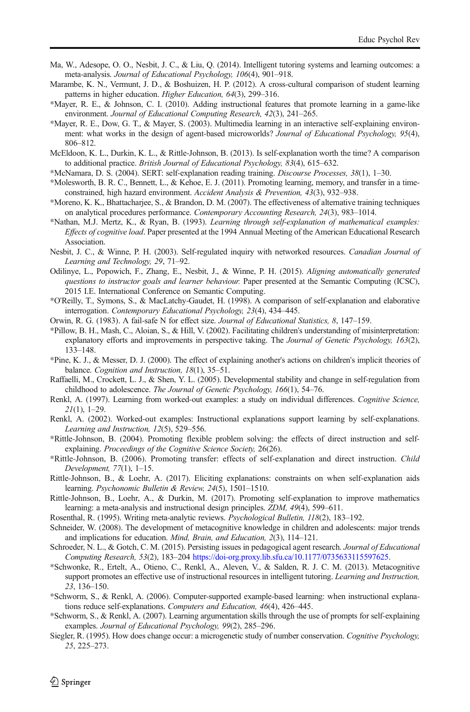- <span id="page-21-0"></span>Ma, W., Adesope, O. O., Nesbit, J. C., & Liu, Q. (2014). Intelligent tutoring systems and learning outcomes: a meta-analysis. Journal of Educational Psychology, 106(4), 901–918.
- Marambe, K. N., Vermunt, J. D., & Boshuizen, H. P. (2012). A cross-cultural comparison of student learning patterns in higher education. Higher Education, 64(3), 299–316.
- \*Mayer, R. E., & Johnson, C. I. (2010). Adding instructional features that promote learning in a game-like environment. Journal of Educational Computing Research, 42(3), 241–265.
- \*Mayer, R. E., Dow, G. T., & Mayer, S. (2003). Multimedia learning in an interactive self-explaining environment: what works in the design of agent-based microworlds? Journal of Educational Psychology, 95(4), 806–812.
- McEldoon, K. L., Durkin, K. L., & Rittle-Johnson, B. (2013). Is self-explanation worth the time? A comparison to additional practice. British Journal of Educational Psychology, 83(4), 615–632.
- \*McNamara, D. S. (2004). SERT: self-explanation reading training. Discourse Processes, 38(1), 1–30.
- \*Molesworth, B. R. C., Bennett, L., & Kehoe, E. J. (2011). Promoting learning, memory, and transfer in a timeconstrained, high hazard environment. Accident Analysis & Prevention, 43(3), 932–938.
- \*Moreno, K. K., Bhattacharjee, S., & Brandon, D. M. (2007). The effectiveness of alternative training techniques on analytical procedures performance. Contemporary Accounting Research, 24(3), 983–1014.
- \*Nathan, M.J. Mertz, K., & Ryan, B. (1993). Learning through self-explanation of mathematical examples: Effects of cognitive load. Paper presented at the 1994 Annual Meeting of the American Educational Research Association.
- Nesbit, J. C., & Winne, P. H. (2003). Self-regulated inquiry with networked resources. Canadian Journal of Learning and Technology, 29, 71–92.
- Odilinye, L., Popowich, F., Zhang, E., Nesbit, J., & Winne, P. H. (2015). Aligning automatically generated questions to instructor goals and learner behaviour. Paper presented at the Semantic Computing (ICSC), 2015 I.E. International Conference on Semantic Computing.
- \*O'Reilly, T., Symons, S., & MacLatchy-Gaudet, H. (1998). A comparison of self-explanation and elaborative interrogation. Contemporary Educational Psychology, 23(4), 434–445.
- Orwin, R. G. (1983). A fail-safe N for effect size. Journal of Educational Statistics, 8, 147–159.
- \*Pillow, B. H., Mash, C., Aloian, S., & Hill, V. (2002). Facilitating children's understanding of misinterpretation: explanatory efforts and improvements in perspective taking. The Journal of Genetic Psychology, 163(2), 133–148.
- \*Pine, K. J., & Messer, D. J. (2000). The effect of explaining another's actions on children's implicit theories of balance. Cognition and Instruction, 18(1), 35-51.
- Raffaelli, M., Crockett, L. J., & Shen, Y. L. (2005). Developmental stability and change in self-regulation from childhood to adolescence. The Journal of Genetic Psychology, 166(1), 54-76.
- Renkl, A. (1997). Learning from worked-out examples: a study on individual differences. Cognitive Science,  $21(1)$ , 1–29.
- Renkl, A. (2002). Worked-out examples: Instructional explanations support learning by self-explanations. Learning and Instruction, 12(5), 529–556.
- \*Rittle-Johnson, B. (2004). Promoting flexible problem solving: the effects of direct instruction and selfexplaining. Proceedings of the Cognitive Science Society, 26(26).
- \*Rittle-Johnson, B. (2006). Promoting transfer: effects of self-explanation and direct instruction. Child Development, 77(1), 1–15.
- Rittle-Johnson, B., & Loehr, A. (2017). Eliciting explanations: constraints on when self-explanation aids learning. Psychonomic Bulletin & Review, 24(5), 1501–1510.
- Rittle-Johnson, B., Loehr, A., & Durkin, M. (2017). Promoting self-explanation to improve mathematics learning: a meta-analysis and instructional design principles. ZDM, 49(4), 599–611.
- Rosenthal, R. (1995). Writing meta-analytic reviews. Psychological Bulletin, 118(2), 183–192.
- Schneider, W. (2008). The development of metacognitive knowledge in children and adolescents: major trends and implications for education. Mind, Brain, and Education, 2(3), 114–121.
- Schroeder, N. L., & Gotch, C. M. (2015). Persisting issues in pedagogical agent research. *Journal of Educational* Computing Research, 53(2), 183–204 <https://doi-org.proxy.lib.sfu.ca/10.1177/0735633115597625>.
- \*Schwonke, R., Ertelt, A., Otieno, C., Renkl, A., Aleven, V., & Salden, R. J. C. M. (2013). Metacognitive support promotes an effective use of instructional resources in intelligent tutoring. Learning and Instruction, 23, 136–150.
- \*Schworm, S., & Renkl, A. (2006). Computer-supported example-based learning: when instructional explanations reduce self-explanations. Computers and Education, 46(4), 426–445.
- \*Schworm, S., & Renkl, A. (2007). Learning argumentation skills through the use of prompts for self-explaining examples. Journal of Educational Psychology, 99(2), 285–296.
- Siegler, R. (1995). How does change occur: a microgenetic study of number conservation. Cognitive Psychology, 25, 225–273.